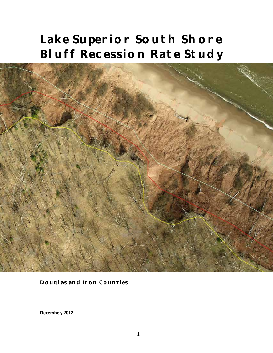# **Lake Superior South Shore Bluff Recession Rate Study**



**Douglas and Iron Counties**

**December, 2012**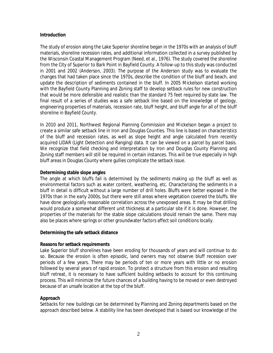#### **Introduction**

The study of erosion along the Lake Superior shoreline began in the 1970s with an analysis of bluff materials, shoreline recession rates, and additional information collected in a survey published by the Wisconsin Coastal Management Program (Need, et al., 1976). The study covered the shoreline from the City of Superior to Bark Point in Bayfield County. A follow-up to this study was conducted in 2001 and 2002 (Anderson, 2003). The purpose of the Anderson study was to evaluate the changes that had taken place since the 1970s, describe the condition of the bluff and beach, and update the description of sediments contained in the bluff. In 2005 Mickelson started working with the Bayfield County Planning and Zoning staff to develop setback rules for new construction that would be more defensible and realistic than the standard 75 feet required by state law. The final result of a series of studies was a safe setback line based on the knowledge of geology, engineering properties of materials, recession rate, bluff height, and bluff angle for all of the bluff shoreline in Bayfield County.

In 2010 and 2011, Northwest Regional Planning Commission and Mickelson began a project to create a similar safe setback line in Iron and Douglas Counties. This line is based on characteristics of the bluff and recession rates, as well as slope height and angle calculated from recently acquired LIDAR (Light Detection and Ranging) data. It can be viewed on a parcel by parcel basis. We recognize that field checking and interpretation by Iron and Douglas County Planning and Zoning staff members will still be required in certain instances. This will be true especially in high bluff areas in Douglas County where gullies complicate the setback issue.

#### **Determining stable slope angles**

The angle at which bluffs fail is determined by the sediments making up the bluff as well as environmental factors such as water content, weathering, etc. Characterizing the sediments in a bluff in detail is difficult without a large number of drill holes. Bluffs were better exposed in the 1970s than in the early 2000s, but there were still areas where vegetation covered the bluffs. We have done geologically reasonable correlation across the unexposed areas. It may be that drilling would produce a somewhat different unit thickness at a particular site if it is done. However, the properties of the materials for the stable slope calculations should remain the same. There may also be places where springs or other groundwater factors affect soil conditions locally.

#### **Determining the safe setback distance**

#### **Reasons for setback requirements**

Lake Superior bluff shorelines have been eroding for thousands of years and will continue to do so. Because the erosion is often episodic, land owners may not observe bluff recession over periods of a few years. There may be periods of ten or more years with little or no erosion followed by several years of rapid erosion. To protect a structure from this erosion and resulting bluff retreat, it is necessary to have sufficient building setbacks to account for this continuing process. This will minimize the future chances of a building having to be moved or even destroyed because of an unsafe location at the top of the bluff.

#### **Approach**

Setbacks for new buildings can be determined by Planning and Zoning departments based on the approach described below. A stability line has been developed that is based our knowledge of the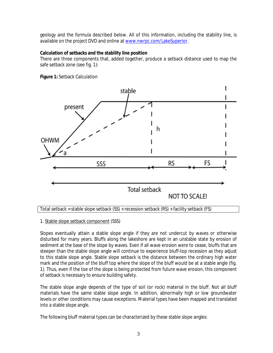geology and the formula described below. All of this information, including the stability line, is available on the project DVD and online at [www.nwrpc.com/LakeSuperior.](http://www.nwrpc.com/shores)

## **Calculation of setbacks and the stability line position**

There are three components that, added together, produce a setback distance used to map the safe setback zone (see fig. 1):



**Figure 1:** Setback Calculation

## 1. Stable slope setback component (SSS)

Slopes eventually attain a stable slope angle if they are not undercut by waves or otherwise disturbed for many years. Bluffs along the lakeshore are kept in an unstable state by erosion of sediment at the base of the slope by waves. Even if all wave erosion were to cease, bluffs that are steeper than the stable slope angle will continue to experience bluff-top recession as they adjust to this stable slope angle. Stable slope setback is the distance between the ordinary high water mark and the position of the bluff top where the slope of the bluff would be at a stable angle (fig. 1). Thus, even if the toe of the slope is being protected from future wave erosion, this component of setback is necessary to ensure building safety.

The stable slope angle depends of the type of soil (or rock) material in the bluff. Not all bluff materials have the same stable slope angle. In addition, abnormally high or low groundwater levels or other conditions may cause exceptions. Material types have been mapped and translated into a stable slope angle.

The following bluff material types can be characterized by these stable slope angles:

Total setback = stable slope setback (SS) + recession setback (RS) + facility setback (FS)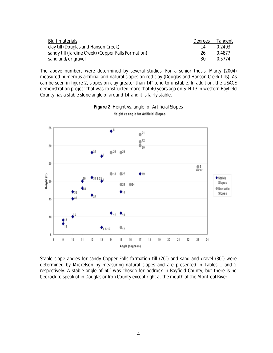| Bluff materials                                     | Dearees | Tangent |
|-----------------------------------------------------|---------|---------|
| clay till (Douglas and Hanson Creek)                | 14      | 0.2493  |
| sandy till (Jardine Creek) (Copper Falls Formation) | 26      | 0.4877  |
| sand and/or gravel                                  | 30      | 0.5774  |

The above numbers were determined by several studies. For a senior thesis, Marty (2004) measured numerous artificial and natural slopes on red clay (Douglas and Hanson Creek tills). As can be seen in figure 2, slopes on clay greater than 14° tend to unstable. In addition, the USACE demonstration project that was constructed more that 40 years ago on STH 13 in western Bayfield County has a stable slope angle of around 14°and it is fairly stable.



# **Figure 2:** Height vs. angle for Artificial Slopes Height vs angle for Artificial Slopes

Stable slope angles for sandy Copper Falls formation till (26°) and sand and gravel (30°) were determined by Mickelson by measuring natural slopes and are presented in Tables 1 and 2 respectively. A stable angle of 60° was chosen for bedrock in Bayfield County, but there is no bedrock to speak of in Douglas or Iron County except right at the mouth of the Montreal River.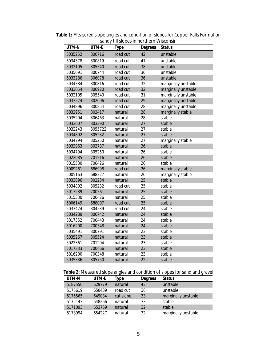| UTM-N   | UTM-E   | <b>Type</b> | <b>Degrees</b> | Status              |
|---------|---------|-------------|----------------|---------------------|
| 5035252 | 300716  | road cut    | 42             | unstable            |
| 5034378 | 300819  | road cut    | 41             | unstable            |
| 5032105 | 305540  | road cut    | 38             | unstable            |
| 5035091 | 300744  | road cut    | 36             | unstable            |
| 5033286 | 306078  | road cut    | 36             | unstable            |
| 5034384 | 300816  | road cut    | 32             | marginally unstable |
| 5033654 | 306920  | road cut    | 32             | marginally unstable |
| 5032105 | 305540  | road cut    | 31             | marginally unstable |
| 5033274 | 302006  | road cut    | 29             | marginally unstable |
| 5034896 | 300854  | road cut    | 28             | marginally unstable |
| 5032951 | 302417  | natural     | 28             | marginally stable   |
| 5035204 | 306463  | natural     | 28             | stable              |
| 5033607 | 303390  | natural     | 27             | stable              |
| 5032243 | 3055722 | natural     | 27             | stable              |
| 5034802 | 305232  | natural     | 27             | stable              |
| 5034794 | 305250  | natural     | 27             | marginally stable   |
| 5032963 | 302737  | natural     | 26             | stable              |
| 5034794 | 305250  | natural     | 26             | stable              |
| 5022085 | 701216  | natural     | 26             | stable              |
| 5015530 | 700426  | natural     | 26             | stable              |
| 5009261 | 686998  | road cut    | 26             | marginally stable   |
| 5005163 | 688327  | natural     | 26             | marginally stable   |
| 5033096 | 302234  | natural     | 25             | stable              |
| 5034802 | 305232  | road cut    | 25             | stable              |
| 5017289 | 700561  | natural     | 25             | stable              |
| 5015530 | 700426  | natural     | 25             | stable              |
| 5006149 | 688007  | road cut    | 25             | stable              |
| 5033424 | 304539  | road cut    | 24             | stable              |
| 5034289 | 306742  | natural     | 24             | stable              |
| 5017352 | 700443  | natural     | 24             | stable              |
| 5016200 | 700348  | natural     | 24             | stable              |
| 5035491 | 300791  | natural     | 23             | stable              |
| 5035267 | 305524  | natural     | 23             | stable              |
| 5022361 | 701204  | natural     | 23             | stable              |
| 5017333 | 700466  | natural     | 23             | stable              |
| 5016200 | 700348  | natural     | 23             | stable              |
| 5035336 | 305750  | natural     | 22             | stable              |

**Table 1:** Measured slope angles and condition of slopes for Copper Falls Formation sandy till slopes in northern Wisconsin

# **Table 2:** Measured slope angles and condition of slopes for sand and gravel

| UTM-N   | UTM-E  | Type      | Degrees | <b>Status</b>       |
|---------|--------|-----------|---------|---------------------|
| 5187550 | 629779 | natural   | 43      | unstable            |
| 5175619 | 650439 | road cut  | 36      | unstable            |
| 5175565 | 649084 | cut slope | 33      | marginally unstable |
| 5172143 | 648266 | natural   | 33      | stable              |
| 5171093 | 653759 | natural   | 32      | stable              |
| 5173994 | 654227 | natural   | 32      | marginally unstable |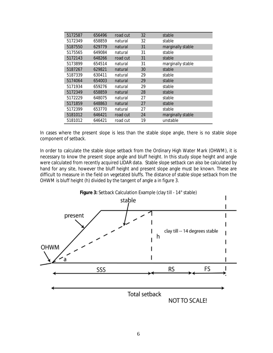| 5172587 | 656496 | road cut | 32 | stable            |
|---------|--------|----------|----|-------------------|
| 5172349 | 658859 | natural  | 32 | stable            |
| 5187550 | 629779 | natural  | 31 | marginally stable |
| 5175565 | 649084 | natural  | 31 | stable            |
| 5172143 | 648266 | road cut | 31 | stable            |
| 5173899 | 654514 | natural  | 31 | marginally stable |
| 5187267 | 629821 | natural  | 30 | stable            |
| 5187339 | 630411 | natural  | 29 | stable            |
| 5174064 | 654003 | natural  | 29 | stable            |
| 5171934 | 659276 | natural  | 29 | stable            |
| 5172349 | 658859 | natural  | 28 | stable            |
| 5172229 | 648075 | natural  | 27 | stable            |
| 5171859 | 648863 | natural  | 27 | stable            |
| 5172399 | 653770 | natural  | 27 | stable            |
| 5181012 | 646421 | road cut | 24 | marginally stable |
| 5181012 | 646421 | road cut | 19 | unstable          |

In cases where the present slope is less than the stable slope angle, there is no stable slope component of setback.

In order to calculate the stable slope setback from the Ordinary High Water Mark (OHWM), it is necessary to know the present slope angle and bluff height. In this study slope height and angle were calculated from recently acquired LIDAR data. Stable slope setback can also be calculated by hand for any site, however the bluff height and present slope angle must be known. These are difficult to measure in the field on vegetated bluffs. The distance of stable slope setback from the OHWM is bluff height (h) divided by the tangent of angle a in figure 3.

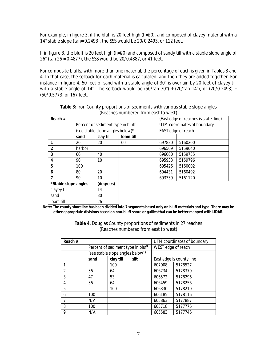For example, in figure 3, if the bluff is 20 feet high (h=20), and composed of clayey material with a 14° stable slope (tan= 0.2493), the SSS would be 20/0.2493, or 112 feet.

If in figure 3, the bluff is 20 feet high (h=20) and composed of sandy till with a stable slope angle of 26° (tan 26 = 0.4877), the SSS would be 20/0.4887, or 41 feet.

For composite bluffs, with more than one material, the percentage of each is given in Tables 3 and 4. In that case, the setback for each material is calculated, and then they are added together. For instance in figure 4, 50 feet of sand with a stable angle of 30° is overlain by 20 feet of clayey till with a stable angle of 14°. The setback would be  $(50/tan 30^\circ) + (20/tan 14^\circ)$ , or  $(20/0.2493) +$ (50/0.5773) or 167 feet.

| Reach #              |                                   |           |           |                             | (East edge of reaches is state line) |
|----------------------|-----------------------------------|-----------|-----------|-----------------------------|--------------------------------------|
|                      | Percent of sediment type in bluff |           |           | UTM coordinates of boundary |                                      |
|                      | (see stable slope angles below)*  |           |           | EAST edge of reach          |                                      |
|                      | sand                              | clay till | loam till |                             |                                      |
|                      | 20                                | 20        | 60        | 697830                      | 5160200                              |
| $\overline{2}$       | harbor                            |           |           | 696509                      | 5159640                              |
| 3                    | 60                                | 40        |           | 696060                      | 5159735                              |
| 4                    | 90                                | 10        |           | 695933                      | 5159796                              |
| 5                    | 100                               |           |           | 695426                      | 5160002                              |
| 6                    | 80                                | 20        |           | 694431                      | 5160492                              |
| 7                    | 90                                | 10        |           | 693339                      | 5161120                              |
| *Stable slope angles |                                   | (degrees) |           |                             |                                      |
| clayey till          |                                   | 14        |           |                             |                                      |
| sand                 |                                   | 30        |           |                             |                                      |
| loam till            |                                   | 26        |           |                             |                                      |

**Table 3:** Iron County proportions of sediments with various stable slope angles (Reaches numbered from east to west)

**Note: The county shoreline has been divided into 7 segments based only on bluff materials and type. There may be other appropriate divisions based on non-bluff shore or gullies that can be better mapped with LIDAR.**

| Reach #        |                                   |                                  |      | UTM coordinates of boundary |         |
|----------------|-----------------------------------|----------------------------------|------|-----------------------------|---------|
|                | Percent of sediment type in bluff |                                  |      | WEST edge of reach          |         |
|                |                                   | (see stable slope angles below)* |      |                             |         |
|                | sand                              | clay till                        | silt | East edge is county line    |         |
|                |                                   | 100                              |      | 607008                      | 5178527 |
| $\mathfrak{D}$ | 36                                | 64                               |      | 606734                      | 5178370 |
| 3              | 47                                | 53                               |      | 606572                      | 5178296 |
| 4              | 36                                | 64                               |      | 606459                      | 5178256 |
| 5              |                                   | 100                              |      | 606330                      | 5178210 |
| 6              | 100                               |                                  |      | 606185                      | 5178116 |
|                | N/A                               |                                  |      | 605863                      | 5177887 |
| 8              | 100                               |                                  |      | 605718                      | 5177776 |
| 9              | N/A                               |                                  |      | 605583                      | 5177746 |

**Table 4.** Douglas County proportions of sediments in 27 reaches (Reaches numbered from east to west)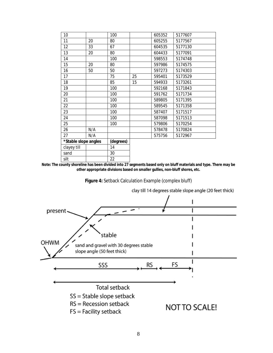| 10                   |     | 100       |    | 605352 | 5177607 |
|----------------------|-----|-----------|----|--------|---------|
| 11                   | 20  | 80        |    | 605255 | 5177567 |
| 12                   | 33  | 67        |    | 604535 | 5177130 |
| 13                   | 20  | 80        |    | 604433 | 5177091 |
| 14                   |     | 100       |    | 598553 | 5174748 |
| 15                   | 20  | 80        |    | 597986 | 5174575 |
| 16                   | 50  | 50        |    | 597273 | 5174303 |
| 17                   |     | 75        | 25 | 595401 | 5173529 |
| 18                   |     | 85        | 15 | 594933 | 5173261 |
| 19                   |     | 100       |    | 592168 | 5171843 |
| 20                   |     | 100       |    | 591762 | 5171734 |
| 21                   |     | 100       |    | 589805 | 5171395 |
| 22                   |     | 100       |    | 589545 | 5171358 |
| 23                   |     | 100       |    | 587407 | 5171517 |
| 24                   |     | 100       |    | 587098 | 5171513 |
| 25                   |     | 100       |    | 579806 | 5170254 |
| 26                   | N/A |           |    | 578478 | 5170824 |
| 27                   | N/A |           |    | 575756 | 5172967 |
| *Stable slope angles |     | (degrees) |    |        |         |
| clayey till          |     | 14        |    |        |         |
| sand                 |     | 30        |    |        |         |
| silt                 |     | 22        |    |        |         |

**Note: The county shoreline has been divided into 27 segments based only on bluff materials and type. There may be other appropriate divisions based on smaller gullies, non-bluff shores, etc.**

**Figure 4:** Setback Calculation Example (complex bluff)



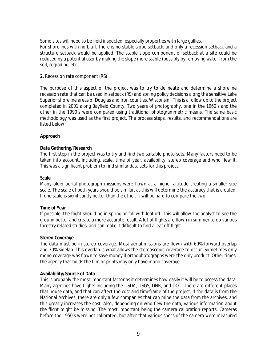Some sites will need to be field inspected, especially properties with large gullies.

For shorelines with no bluff, there is no stable slope setback, and only a recession setback and a structure setback would be applied. The stable slope component of setback at a site could be reduced by a potential user by making the slope more stable (possibly by removing water from the soil, regrading, etc.).

## **2.** Recession rate component (RS)

The purpose of this aspect of the project was to try to delineate and determine a shoreline recession rate that can be used in setback (RS) and zoning policy decisions along the sensitive Lake Superior shoreline areas of Douglas and Iron counties, Wisconsin. This is a follow up to the project completed in 2001 along Bayfield County. Two years of photography, one in the 1960's and the other in the 1990's were compared using traditional photogrammetric means. The same basic methodology was used as the first project. The process steps, results, and recommendations are listed below.

# **Approach**

# **Data Gathering/Research**

The first step in the project was to try and find two suitable photo sets. Many factors need to be taken into account, including, scale, time of year, availability, stereo coverage and who flew it. This was a significant problem to find similar data sets for this project.

## **Scale**

Many older aerial photograph missions were flown at a higher altitude creating a smaller size scale. The scale of both years should be similar, as this will determine the accuracy that is created. If one scale is significantly better than the other, it will be hard to compare the two.

## **Time of Year**

If possible, the flight should be in spring or fall with leaf off. This will allow the analyst to see the ground better and create a more accurate result. A lot of flights are flown in summer to do various forestry related studies, and can make it difficult to find a leaf off flight

## **Stereo Coverage**

The data must be in stereo coverage. Most aerial missions are flown with 60% forward overlap and 30% sidelap. This overlap is what allows the stereoscopic coverage to occur. Sometimes only mono coverage was flown to save money if orthophotographs were the only product. Other times, the agency that holds the film or prints may only have mono coverage.

## **Availability/Source of Data**

This is probably the most important factor as it determines how easily it will be to access the data. Many agencies have flights including the USDA, USGS, DNR, and DOT. There are different places that house data, and that can affect the cost and timeframe of the project. If the data is from the National Archives, there are only a few companies that can mine the data from the archives, and this greatly increases the cost. Also, depending on who flew the data, various information about the flight might be missing. The most important being the camera calibration reports. Cameras before the 1950's were not calibrated, but after that various specs of the camera were measured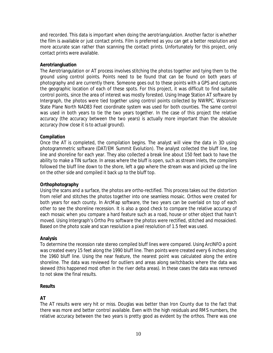and recorded. This data is important when doing the aerotriangulation. Another factor is whether the film is available or just contact prints. Film is preferred as you can get a better resolution and more accurate scan rather than scanning the contact prints. Unfortunately for this project, only contact prints were available.

## **Aerotriangluation**

The Aerotriangulation or AT process involves stitching the photos together and tying them to the ground using control points. Points need to be found that can be found on both years of photography and are currently there. Someone goes out to these points with a GPS and captures the geographic location of each of these spots. For this project, it was difficult to find suitable control points, since the area of interest was mostly forested. Using Image Station AT software by Intergraph, the photos were tied together using control points collected by NWRPC. Wisconsin State Plane North NAD83 Feet coordinate system was used for both counties. The same control was used in both years to tie the two years together. In the case of this project the relative accuracy (the accuracy between the two years) is actually more important than the absolute accuracy (how close it is to actual ground).

#### **Compilation**

Once the AT is completed, the compilation begins. The analyst will view the data in 3D using photogrammetric software (DAT/EM Summit Evolution). The analyst collected the bluff line, toe line and shoreline for each year. They also collected a break line about 150 feet back to have the ability to make a TIN surface. In areas where the bluff is open, such as stream inlets, the compilers followed the bluff line down to the shore, left a gap where the stream was and picked up the line on the other side and compiled it back up to the bluff top.

#### **Orthophotography**

Using the scans and a surface, the photos are ortho-rectified. This process takes out the distortion from relief and stitches the photos together into one seamless mosaic. Orthos were created for both years for each county. In ArcMap software, the two years can be overlaid on top of each other to see the shoreline recession. It is also a good check to compare the relative accuracy of each mosaic when you compare a hard feature such as a road, house or other object that hasn't moved. Using Intergraph's Ortho Pro software the photos were rectified, stitched and mosaicked. Based on the photo scale and scan resolution a pixel resolution of 1.5 feet was used.

#### **Analysis**

To determine the recession rate stereo compiled bluff lines were compared. Using ArcINFO a point was created every 15 feet along the 1990 bluff line. Then points were created every 6 inches along the 1960 bluff line. Using the near feature, the nearest point was calculated along the entire shoreline. The data was reviewed for outliers and areas along switchbacks where the data was skewed (this happened most often in the river delta areas). In these cases the data was removed to not skew the final results.

#### **Results**

## **AT**

The AT results were very hit or miss. Douglas was better than Iron County due to the fact that there was more and better control available. Even with the high residuals and RMS numbers, the relative accuracy between the two years is pretty good as evident by the orthos. There was one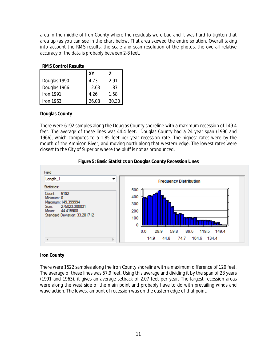area in the middle of Iron County where the residuals were bad and it was hard to tighten that area up (as you can see in the chart below. That area skewed the entire solution. Overall taking into account the RMS results, the scale and scan resolution of the photos, the overall relative accuracy of the data is probably between 2-8 feet.

## **RMS Control Results**

|                  | XY    |       |
|------------------|-------|-------|
| Douglas 1990     | 4.73  | 2.91  |
| Douglas 1966     | 12.63 | 1.87  |
| <b>Iron 1991</b> | 4.26  | 1.58  |
| Iron 1963        | 26.08 | 30.30 |

## **Douglas County**

There were 6192 samples along the Douglas County shoreline with a maximum recession of 149.4 feet. The average of these lines was 44.4 feet. Douglas County had a 24 year span (1990 and 1966), which computes to a 1.85 feet per year recession rate. The highest rates were by the mouth of the Amnicon River, and moving north along that western edge. The lowest rates were closest to the City of Superior where the bluff is not as pronounced.





## **Iron County**

There were 1522 samples along the Iron County shoreline with a maximum difference of 120 feet. The average of these lines was 57.9 feet. Using this average and dividing it by the span of 28 years (1991 and 1963), it gives an average setback of 2.07 feet per year. The largest recession areas were along the west side of the main point and probably have to do with prevailing winds and wave action. The lowest amount of recession was on the eastern edge of that point.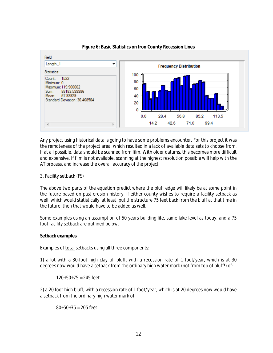

**Figure 6: Basic Statistics on Iron County Recession Lines**

Any project using historical data is going to have some problems encounter. For this project it was the remoteness of the project area, which resulted in a lack of available data sets to choose from. If at all possible, data should be scanned from film. With older datums, this becomes more difficult and expensive. If film is not available, scanning at the highest resolution possible will help with the AT process, and increase the overall accuracy of the project.

#### 3. Facility setback (FS)

The above two parts of the equation predict where the bluff edge will likely be at some point in the future based on past erosion history. If either county wishes to require a facility setback as well, which would statistically, at least, put the structure 75 feet back from the bluff at that time in the future, then that would have to be added as well.

Some examples using an assumption of 50 years building life, same lake level as today, and a 75 foot facility setback are outlined below.

#### **Setback examples**

Examples of total setbacks using all three components:

1) a lot with a 30-foot high clay till bluff, with a recession rate of 1 foot/year, which is at 30 degrees now would have a setback from the ordinary high water mark (not from top of bluff!) of:

 $120+50+75 = 245$  feet

2) a 20 foot high bluff, with a recession rate of 1 foot/year, which is at 20 degrees now would have a setback from the ordinary high water mark of:

 $80+50+75 = 205$  feet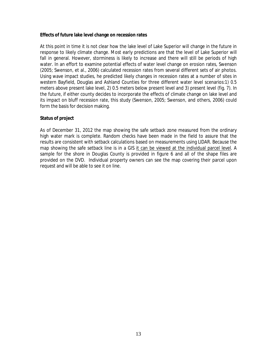#### **Effects of future lake level change on recession rates**

At this point in time it is not clear how the lake level of Lake Superior will change in the future in response to likely climate change. Most early predictions are that the level of Lake Superior will fall in general. However, storminess is likely to increase and there will still be periods of high water. In an effort to examine potential effects of water level change on erosion rates, Swenson (2005; Swenson, et al., 2006) calculated recession rates from several different sets of air photos. Using wave impact studies, he predicted likely changes in recession rates at a number of sites in western Bayfield, Douglas and Ashland Counties for three different water level scenarios:1) 0.5 meters above present lake level, 2) 0.5 meters below present level and 3) present level (fig. 7). In the future, if either county decides to incorporate the effects of climate change on lake level and its impact on bluff recession rate, this study (Swenson, 2005; Swenson, and others, 2006) could form the basis for decision making.

#### **Status of project**

As of December 31, 2012 the map showing the safe setback zone measured from the ordinary high water mark is complete. Random checks have been made in the field to assure that the results are consistent with setback calculations based on measurements using LIDAR. Because the map showing the safe setback line is in a GIS it can be viewed at the individual parcel level. A sample for the shore in Douglas County is provided in figure 6 and all of the shape files are provided on the DVD. Individual property owners can see the map covering their parcel upon request and will be able to see it on line.